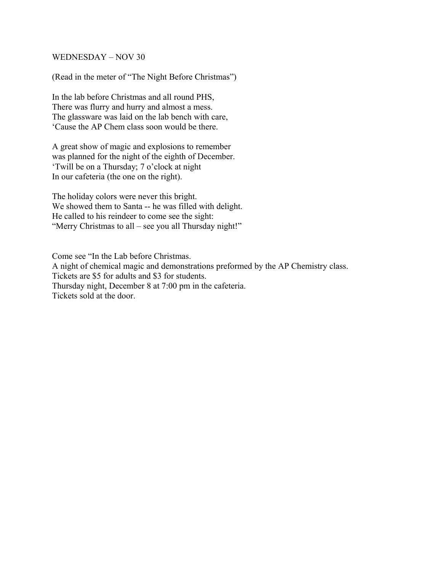## WEDNESDAY – NOV 30

(Read in the meter of "The Night Before Christmas")

In the lab before Christmas and all round PHS, There was flurry and hurry and almost a mess. The glassware was laid on the lab bench with care, 'Cause the AP Chem class soon would be there.

A great show of magic and explosions to remember was planned for the night of the eighth of December. 'Twill be on a Thursday; 7 o'clock at night In our cafeteria (the one on the right).

The holiday colors were never this bright. We showed them to Santa -- he was filled with delight. He called to his reindeer to come see the sight: "Merry Christmas to all – see you all Thursday night!"

Come see "In the Lab before Christmas. A night of chemical magic and demonstrations preformed by the AP Chemistry class. Tickets are \$5 for adults and \$3 for students. Thursday night, December 8 at 7:00 pm in the cafeteria. Tickets sold at the door.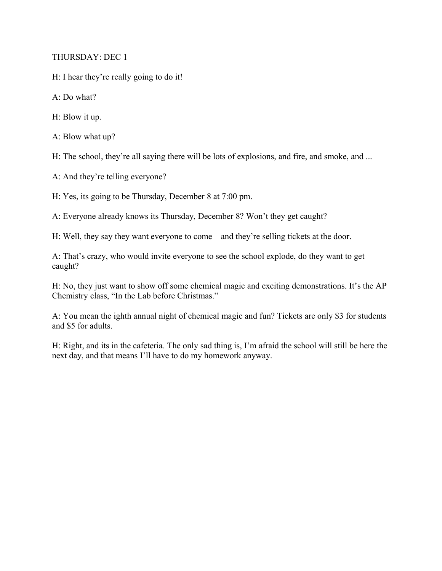THURSDAY: DEC 1

H: I hear they're really going to do it!

A: Do what?

H: Blow it up.

A: Blow what up?

H: The school, they're all saying there will be lots of explosions, and fire, and smoke, and ...

A: And they're telling everyone?

H: Yes, its going to be Thursday, December 8 at 7:00 pm.

A: Everyone already knows its Thursday, December 8? Won't they get caught?

H: Well, they say they want everyone to come – and they're selling tickets at the door.

A: That's crazy, who would invite everyone to see the school explode, do they want to get caught?

H: No, they just want to show off some chemical magic and exciting demonstrations. It's the AP Chemistry class, "In the Lab before Christmas."

A: You mean the ighth annual night of chemical magic and fun? Tickets are only \$3 for students and \$5 for adults.

H: Right, and its in the cafeteria. The only sad thing is, I'm afraid the school will still be here the next day, and that means I'll have to do my homework anyway.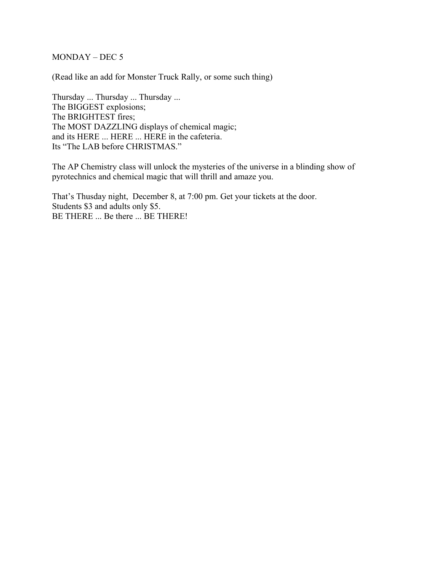MONDAY – DEC 5

(Read like an add for Monster Truck Rally, or some such thing)

Thursday ... Thursday ... Thursday ... The BIGGEST explosions; The BRIGHTEST fires; The MOST DAZZLING displays of chemical magic; and its HERE ... HERE ... HERE in the cafeteria. Its "The LAB before CHRISTMAS."

The AP Chemistry class will unlock the mysteries of the universe in a blinding show of pyrotechnics and chemical magic that will thrill and amaze you.

That's Thusday night, December 8, at 7:00 pm. Get your tickets at the door. Students \$3 and adults only \$5. BE THERE ... Be there ... BE THERE!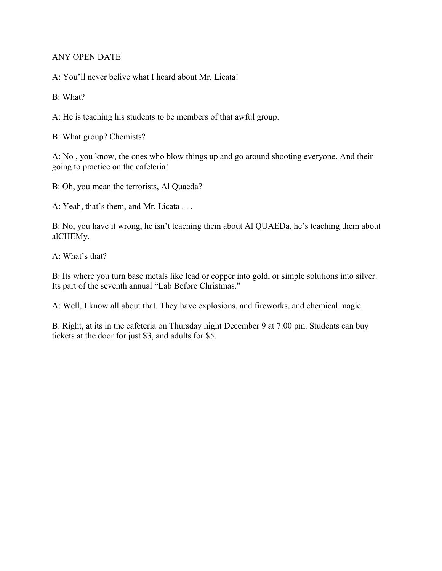## ANY OPEN DATE

A: You'll never belive what I heard about Mr. Licata!

B: What?

A: He is teaching his students to be members of that awful group.

B: What group? Chemists?

A: No , you know, the ones who blow things up and go around shooting everyone. And their going to practice on the cafeteria!

B: Oh, you mean the terrorists, Al Quaeda?

A: Yeah, that's them, and Mr. Licata . . .

B: No, you have it wrong, he isn't teaching them about Al QUAEDa, he's teaching them about alCHEMy.

A: What's that?

B: Its where you turn base metals like lead or copper into gold, or simple solutions into silver. Its part of the seventh annual "Lab Before Christmas."

A: Well, I know all about that. They have explosions, and fireworks, and chemical magic.

B: Right, at its in the cafeteria on Thursday night December 9 at 7:00 pm. Students can buy tickets at the door for just \$3, and adults for \$5.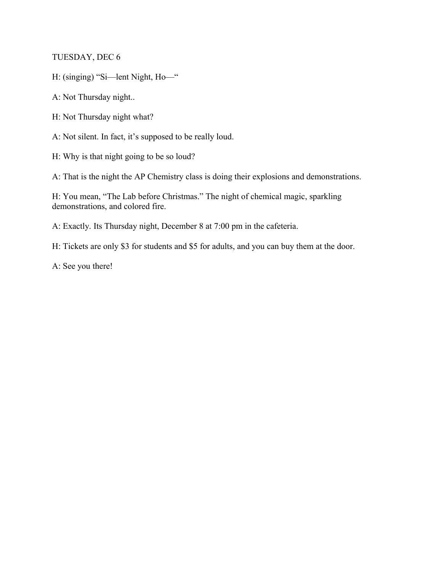TUESDAY, DEC 6

H: (singing) "Si—lent Night, Ho—"

A: Not Thursday night..

H: Not Thursday night what?

A: Not silent. In fact, it's supposed to be really loud.

H: Why is that night going to be so loud?

A: That is the night the AP Chemistry class is doing their explosions and demonstrations.

H: You mean, "The Lab before Christmas." The night of chemical magic, sparkling demonstrations, and colored fire.

A: Exactly. Its Thursday night, December 8 at 7:00 pm in the cafeteria.

H: Tickets are only \$3 for students and \$5 for adults, and you can buy them at the door.

A: See you there!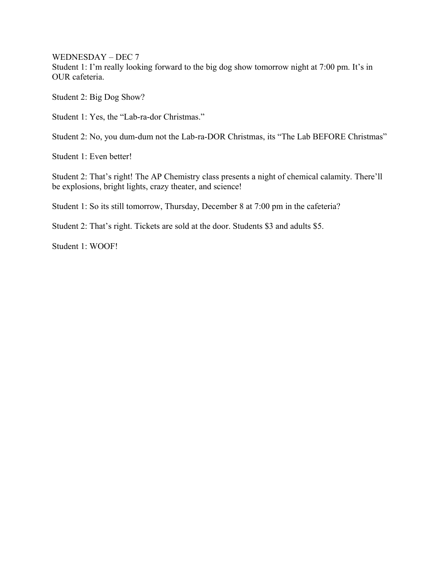WEDNESDAY – DEC 7

Student 1: I'm really looking forward to the big dog show tomorrow night at 7:00 pm. It's in OUR cafeteria.

Student 2: Big Dog Show?

Student 1: Yes, the "Lab-ra-dor Christmas."

Student 2: No, you dum-dum not the Lab-ra-DOR Christmas, its "The Lab BEFORE Christmas"

Student 1: Even better!

Student 2: That's right! The AP Chemistry class presents a night of chemical calamity. There'll be explosions, bright lights, crazy theater, and science!

Student 1: So its still tomorrow, Thursday, December 8 at 7:00 pm in the cafeteria?

Student 2: That's right. Tickets are sold at the door. Students \$3 and adults \$5.

Student 1: WOOF!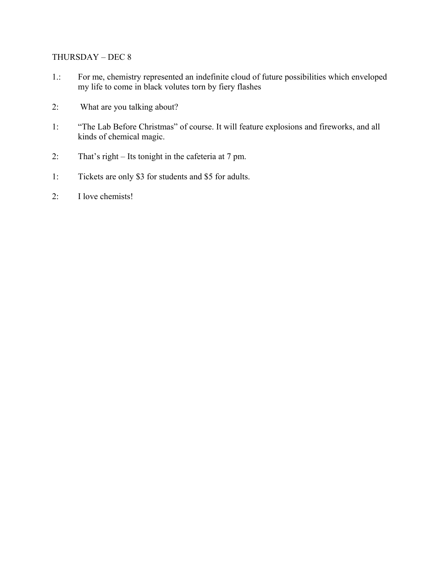## THURSDAY – DEC 8

- 1.: For me, chemistry represented an indefinite cloud of future possibilities which enveloped my life to come in black volutes torn by fiery flashes
- 2: What are you talking about?
- 1: "The Lab Before Christmas" of course. It will feature explosions and fireworks, and all kinds of chemical magic.
- 2: That's right Its tonight in the cafeteria at 7 pm.
- 1: Tickets are only \$3 for students and \$5 for adults.
- 2: I love chemists!